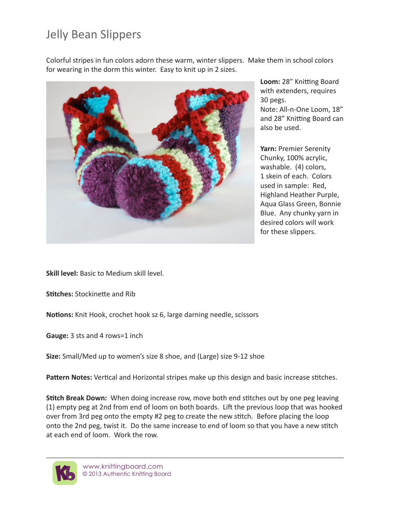## Jelly Bean Slippers

Colorful stripes in fun colors adorn these warm, winter slippers. Make them in school colors for wearing in the dorm this winter. Easy to knit up in 2 sizes.



**Loom:** 28" Knitting Board with extenders, requires 30 pegs. Note: All-n-One Loom, 18" and 28" Knitting Board can also be used.

**Yarn:** Premier Serenity Chunky, 100% acrylic, washable. (4) colors, 1 skein of each. Colors used in sample: Red, Highland Heather Purple, Aqua Glass Green, Bonnie Blue. Any chunky yarn in desired colors will work for these slippers.

**Skill level:** Basic to Medium skill level.

**Stitches: Stockinette and Rib** 

**Notions:** Knit Hook, crochet hook sz 6, large darning needle, scissors

**Gauge:** 3 sts and 4 rows=1 inch

**Size:** Small/Med up to women's size 8 shoe, and (Large) size 9-12 shoe

Pattern Notes: Vertical and Horizontal stripes make up this design and basic increase stitches.

**Stitch Break Down:** When doing increase row, move both end stitches out by one peg leaving (1) empty peg at 2nd from end of loom on both boards. Lift the previous loop that was hooked over from 3rd peg onto the empty #2 peg to create the new stitch. Before placing the loop onto the 2nd peg, twist it. Do the same increase to end of loom so that you have a new stitch at each end of loom. Work the row.

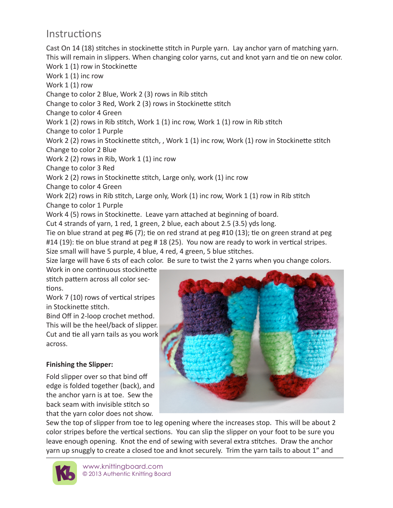## *<u>Instructions</u>*

Cast On 14 (18) stitches in stockinette stitch in Purple yarn. Lay anchor yarn of matching yarn. This will remain in slippers. When changing color varns, cut and knot varn and tie on new color. Work 1 (1) row in Stockinette Work 1 (1) inc row Work 1 (1) row Change to color 2 Blue, Work 2 (3) rows in Rib stitch Change to color 3 Red, Work 2 (3) rows in Stockinette stitch Change to color 4 Green Work 1 (2) rows in Rib stitch, Work 1 (1) inc row, Work 1 (1) row in Rib stitch Change to color 1 Purple Work 2 (2) rows in Stockinette stitch, , Work 1 (1) inc row, Work (1) row in Stockinette stitch Change to color 2 Blue Work 2 (2) rows in Rib, Work 1 (1) inc row Change to color 3 Red Work 2 (2) rows in Stockinette stitch, Large only, work (1) inc row Change to color 4 Green Work 2(2) rows in Rib stitch, Large only, Work (1) inc row, Work 1 (1) row in Rib stitch Change to color 1 Purple Work 4 (5) rows in Stockinette. Leave yarn attached at beginning of board. Cut 4 strands of yarn, 1 red, 1 green, 2 blue, each about 2.5 (3.5) yds long. Tie on blue strand at peg #6 (7); tie on red strand at peg #10 (13); tie on green strand at peg #14 (19): tie on blue strand at peg # 18 (25). You now are ready to work in vertical stripes. Size small will have 5 purple, 4 blue, 4 red, 4 green, 5 blue stitches. Size large will have 6 sts of each color. Be sure to twist the 2 yarns when you change colors. Work in one continuous stockinette

stitch pattern across all color sections.

Work 7 (10) rows of vertical stripes in Stockinette stitch.

Bind Off in 2-loop crochet method. This will be the heel/back of slipper. Cut and tie all yarn tails as you work across.

## **Einishing the Slipper:**

Fold slipper over so that bind off edge is folded together (back), and the anchor yarn is at toe. Sew the back seam with invisible stitch so that the yarn color does not show.



Sew the top of slipper from toe to leg opening where the increases stop. This will be about 2 color stripes before the vertical sections. You can slip the slipper on your foot to be sure you leave enough opening. Knot the end of sewing with several extra stitches. Draw the anchor yarn up snuggly to create a closed toe and knot securely. Trim the yarn tails to about 1" and